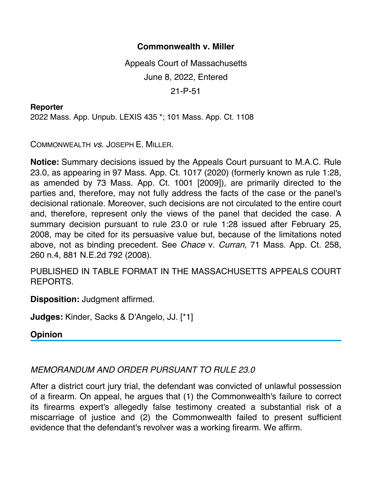## **Commonwealth v. Miller**

Appeals Court of Massachusetts June 8, 2022, Entered 21-P-51

## **Reporter**

2022 Mass. App. Unpub. LEXIS 435 \*; 101 Mass. App. Ct. 1108

COMMONWEALTH *vs*. JOSEPH E. MILLER.

**Notice:** Summary decisions issued by the Appeals Court pursuant to M.A.C. Rule 23.0, as appearing in 97 Mass. App. Ct. 1017 (2020) (formerly known as rule 1:28, as amended by 73 Mass. App. Ct. 1001 [2009]), are primarily directed to the parties and, therefore, may not fully address the facts of the case or the panel's decisional rationale. Moreover, such decisions are not circulated to the entire court and, therefore, represent only the views of the panel that decided the case. A summary decision pursuant to rule 23.0 or rule 1:28 issued after February 25, 2008, may be cited for its persuasive value but, because of the limitations noted above, not as binding precedent. See *Chace* v. *Curran*, 71 Mass. App. Ct. 258, 260 n.4, 881 N.E.2d 792 (2008).

PUBLISHED IN TABLE FORMAT IN THE MASSACHUSETTS APPEALS COURT REPORTS.

**Disposition:** Judgment affirmed.

**Judges:** Kinder, Sacks & D'Angelo, JJ. [\*1]

**Opinion**

## *MEMORANDUM AND ORDER PURSUANT TO RULE 23.0*

After a district court jury trial, the defendant was convicted of unlawful possession of a firearm. On appeal, he argues that (1) the Commonwealth's failure to correct its firearms expert's allegedly false testimony created a substantial risk of a miscarriage of justice and (2) the Commonwealth failed to present sufficient evidence that the defendant's revolver was a working firearm. We affirm.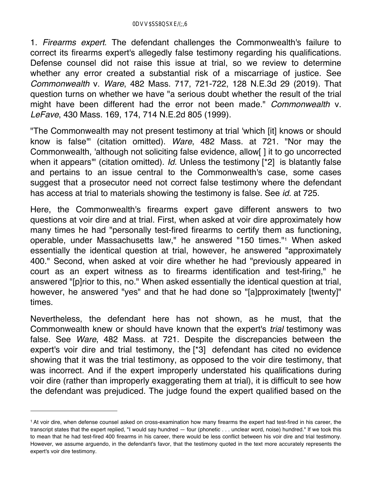1. *Firearms expert*. The defendant challenges the Commonwealth's failure to correct its firearms expert's allegedly false testimony regarding his qualifications. Defense counsel did not raise this issue at trial, so we review to determine whether any error created a substantial risk of a miscarriage of justice. See *Commonwealth* v. *Ware*, 482 Mass. 717, 721-722, 128 N.E.3d 29 (2019). That question turns on whether we have "a serious doubt whether the result of the trial might have been different had the error not been made." *Commonwealth* v. *LeFave*, 430 Mass. 169, 174, 714 N.E.2d 805 (1999).

"The Commonwealth may not present testimony at trial 'which [it] knows or should know is false'" (citation omitted). *Ware*, 482 Mass. at 721. "Nor may the Commonwealth, 'although not soliciting false evidence, allow[ ] it to go uncorrected when it appears" (citation omitted). *Id.* Unless the testimony [\*2] is blatantly false and pertains to an issue central to the Commonwealth's case, some cases suggest that a prosecutor need not correct false testimony where the defendant has access at trial to materials showing the testimony is false. See *id.* at 725.

Here, the Commonwealth's firearms expert gave different answers to two questions at voir dire and at trial. First, when asked at voir dire approximately how many times he had "personally test-fired firearms to certify them as functioning, operable, under Massachusetts law," he answered "150 times."1 When asked essentially the identical question at trial, however, he answered "approximately 400." Second, when asked at voir dire whether he had "previously appeared in court as an expert witness as to firearms identification and test-firing," he answered "[p]rior to this, no." When asked essentially the identical question at trial, however, he answered "yes" and that he had done so "[a]pproximately [twenty]" times.

Nevertheless, the defendant here has not shown, as he must, that the Commonwealth knew or should have known that the expert's *trial* testimony was false. See *Ware*, 482 Mass. at 721. Despite the discrepancies between the expert's voir dire and trial testimony, the [\*3] defendant has cited no evidence showing that it was the trial testimony, as opposed to the voir dire testimony, that was incorrect. And if the expert improperly understated his qualifications during voir dire (rather than improperly exaggerating them at trial), it is difficult to see how the defendant was prejudiced. The judge found the expert qualified based on the

<sup>1</sup> At voir dire, when defense counsel asked on cross-examination how many firearms the expert had test-fired in his career, the transcript states that the expert replied, "I would say hundred — four (phonetic . . . unclear word, noise) hundred." If we took this to mean that he had test-fired 400 firearms in his career, there would be less conflict between his voir dire and trial testimony. However, we assume arguendo, in the defendant's favor, that the testimony quoted in the text more accurately represents the expert's voir dire testimony.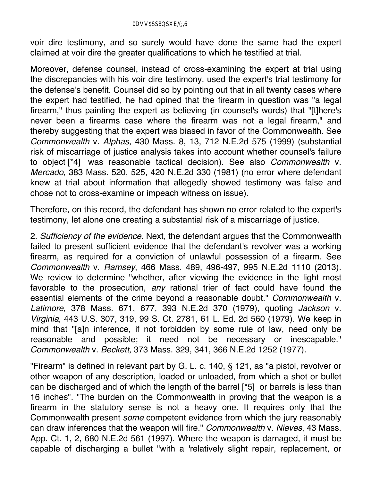voir dire testimony, and so surely would have done the same had the expert claimed at voir dire the greater qualifications to which he testified at trial.

Moreover, defense counsel, instead of cross-examining the expert at trial using the discrepancies with his voir dire testimony, used the expert's trial testimony for the defense's benefit. Counsel did so by pointing out that in all twenty cases where the expert had testified, he had opined that the firearm in question was "a legal firearm," thus painting the expert as believing (in counsel's words) that "[t]here's never been a firearms case where the firearm was not a legal firearm," and thereby suggesting that the expert was biased in favor of the Commonwealth. See *Commonwealth* v. *Alphas*, 430 Mass. 8, 13, 712 N.E.2d 575 (1999) (substantial risk of miscarriage of justice analysis takes into account whether counsel's failure to object [\*4] was reasonable tactical decision). See also *Commonwealth* v. *Mercado*, 383 Mass. 520, 525, 420 N.E.2d 330 (1981) (no error where defendant knew at trial about information that allegedly showed testimony was false and chose not to cross-examine or impeach witness on issue).

Therefore, on this record, the defendant has shown no error related to the expert's testimony, let alone one creating a substantial risk of a miscarriage of justice.

2. *Sufficiency of the evidence*. Next, the defendant argues that the Commonwealth failed to present sufficient evidence that the defendant's revolver was a working firearm, as required for a conviction of unlawful possession of a firearm. See *Commonwealth* v. *Ramsey*, 466 Mass. 489, 496-497, 995 N.E.2d 1110 (2013). We review to determine "whether, after viewing the evidence in the light most favorable to the prosecution, *any* rational trier of fact could have found the essential elements of the crime beyond a reasonable doubt." *Commonwealth* v. *Latimore*, 378 Mass. 671, 677, 393 N.E.2d 370 (1979), quoting *Jackson* v. *Virginia*, 443 U.S. 307, 319, 99 S. Ct. 2781, 61 L. Ed. 2d 560 (1979). We keep in mind that "[a]n inference, if not forbidden by some rule of law, need only be reasonable and possible; it need not be necessary or inescapable." *Commonwealth* v. *Beckett*, 373 Mass. 329, 341, 366 N.E.2d 1252 (1977).

"Firearm" is defined in relevant part by G. L. c. 140, § 121, as "a pistol, revolver or other weapon of any description, loaded or unloaded, from which a shot or bullet can be discharged and of which the length of the barrel [\*5] or barrels is less than 16 inches". "The burden on the Commonwealth in proving that the weapon is a firearm in the statutory sense is not a heavy one. It requires only that the Commonwealth present *some* competent evidence from which the jury reasonably can draw inferences that the weapon will fire." *Commonwealth* v. *Nieves*, 43 Mass. App. Ct. 1, 2, 680 N.E.2d 561 (1997). Where the weapon is damaged, it must be capable of discharging a bullet "with a 'relatively slight repair, replacement, or